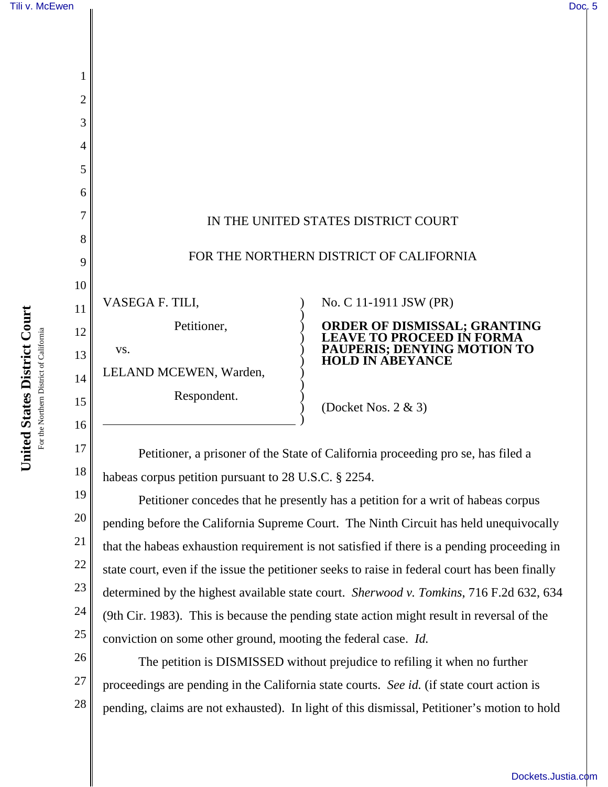

Petitioner, a prisoner of the State of California proceeding pro se, has filed a habeas corpus petition pursuant to 28 U.S.C. § 2254.

19 20 21 22 23 24 25 Petitioner concedes that he presently has a petition for a writ of habeas corpus pending before the California Supreme Court. The Ninth Circuit has held unequivocally that the habeas exhaustion requirement is not satisfied if there is a pending proceeding in state court, even if the issue the petitioner seeks to raise in federal court has been finally determined by the highest available state court. *Sherwood v. Tomkins*, 716 F.2d 632, 634 (9th Cir. 1983). This is because the pending state action might result in reversal of the conviction on some other ground, mooting the federal case. *Id.*

26 The petition is DISMISSED without prejudice to refiling it when no further proceedings are pending in the California state courts. *See id.* (if state court action is pending, claims are not exhausted). In light of this dismissal, Petitioner's motion to hold

18

27

28